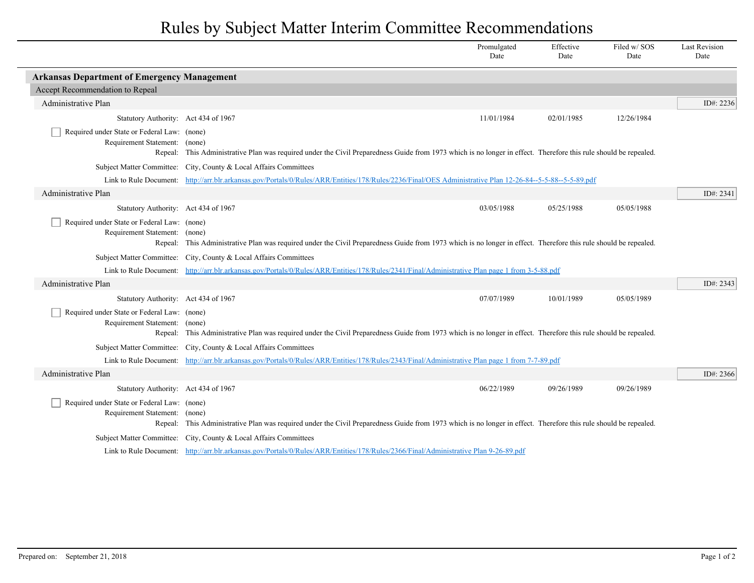## Rules by Subject Matter Interim Committee Recommendations

|                                                                              |                                                                                                                                                                  | Promulgated<br>Date | Effective<br>Date | Filed w/SOS<br>Date | <b>Last Revision</b><br>Date |  |  |
|------------------------------------------------------------------------------|------------------------------------------------------------------------------------------------------------------------------------------------------------------|---------------------|-------------------|---------------------|------------------------------|--|--|
| <b>Arkansas Department of Emergency Management</b>                           |                                                                                                                                                                  |                     |                   |                     |                              |  |  |
| Accept Recommendation to Repeal                                              |                                                                                                                                                                  |                     |                   |                     |                              |  |  |
| Administrative Plan                                                          |                                                                                                                                                                  |                     |                   |                     | ID#: 2236                    |  |  |
| Statutory Authority: Act 434 of 1967                                         |                                                                                                                                                                  | 11/01/1984          | 02/01/1985        | 12/26/1984          |                              |  |  |
| Required under State or Federal Law: (none)                                  |                                                                                                                                                                  |                     |                   |                     |                              |  |  |
| Requirement Statement: (none)                                                |                                                                                                                                                                  |                     |                   |                     |                              |  |  |
|                                                                              | Repeal: This Administrative Plan was required under the Civil Preparedness Guide from 1973 which is no longer in effect. Therefore this rule should be repealed. |                     |                   |                     |                              |  |  |
|                                                                              | Subject Matter Committee: City, County & Local Affairs Committees                                                                                                |                     |                   |                     |                              |  |  |
|                                                                              | Link to Rule Document: http://arr.blr.arkansas.gov/Portals/0/Rules/ARR/Entities/178/Rules/2236/Final/OES Administrative Plan 12-26-84--5-5-88--5-5-89.pdf        |                     |                   |                     |                              |  |  |
| Administrative Plan                                                          |                                                                                                                                                                  |                     |                   |                     | ID#: 2341                    |  |  |
| Statutory Authority: Act 434 of 1967                                         |                                                                                                                                                                  | 03/05/1988          | 05/25/1988        | 05/05/1988          |                              |  |  |
| Required under State or Federal Law: (none)<br>Requirement Statement: (none) |                                                                                                                                                                  |                     |                   |                     |                              |  |  |
|                                                                              | Repeal: This Administrative Plan was required under the Civil Preparedness Guide from 1973 which is no longer in effect. Therefore this rule should be repealed. |                     |                   |                     |                              |  |  |
|                                                                              | Subject Matter Committee: City, County & Local Affairs Committees                                                                                                |                     |                   |                     |                              |  |  |
|                                                                              | Link to Rule Document: http://arr.blr.arkansas.gov/Portals/0/Rules/ARR/Entities/178/Rules/2341/Final/Administrative Plan page 1 from 3-5-88.pdf                  |                     |                   |                     |                              |  |  |
| Administrative Plan                                                          |                                                                                                                                                                  |                     |                   |                     | ID#: 2343                    |  |  |
| Statutory Authority: Act 434 of 1967                                         |                                                                                                                                                                  | 07/07/1989          | 10/01/1989        | 05/05/1989          |                              |  |  |
| Required under State or Federal Law: (none)                                  |                                                                                                                                                                  |                     |                   |                     |                              |  |  |
| Requirement Statement: (none)                                                |                                                                                                                                                                  |                     |                   |                     |                              |  |  |
|                                                                              | Repeal: This Administrative Plan was required under the Civil Preparedness Guide from 1973 which is no longer in effect. Therefore this rule should be repealed. |                     |                   |                     |                              |  |  |
|                                                                              | Subject Matter Committee: City, County & Local Affairs Committees                                                                                                |                     |                   |                     |                              |  |  |
|                                                                              | Link to Rule Document: http://arr.blr.arkansas.gov/Portals/0/Rules/ARR/Entities/178/Rules/2343/Final/Administrative Plan page 1 from 7-7-89.pdf                  |                     |                   |                     |                              |  |  |
| Administrative Plan                                                          |                                                                                                                                                                  |                     |                   |                     | ID#: 2366                    |  |  |
| Statutory Authority: Act 434 of 1967                                         |                                                                                                                                                                  | 06/22/1989          | 09/26/1989        | 09/26/1989          |                              |  |  |
| Required under State or Federal Law: (none)                                  |                                                                                                                                                                  |                     |                   |                     |                              |  |  |
| Requirement Statement: (none)                                                | Repeal: This Administrative Plan was required under the Civil Preparedness Guide from 1973 which is no longer in effect. Therefore this rule should be repealed. |                     |                   |                     |                              |  |  |
|                                                                              | Subject Matter Committee: City, County & Local Affairs Committees                                                                                                |                     |                   |                     |                              |  |  |
|                                                                              | Link to Rule Document: http://arr.blr.arkansas.gov/Portals/0/Rules/ARR/Entities/178/Rules/2366/Final/Administrative Plan 9-26-89.pdf                             |                     |                   |                     |                              |  |  |
|                                                                              |                                                                                                                                                                  |                     |                   |                     |                              |  |  |